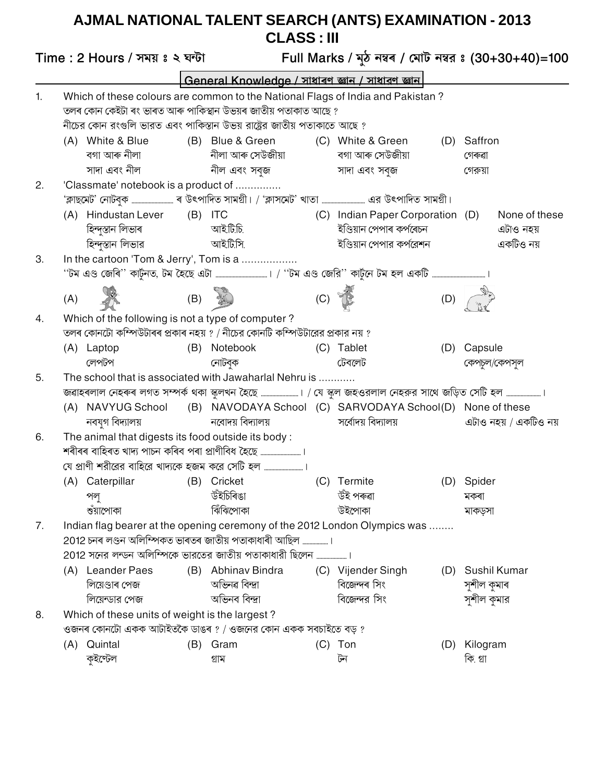## AJMAL NATIONAL TALENT SEARCH (ANTS) EXAMINATION - 2013<br>CLASS : III

|    |                                                                                                                                                                        | Time: 2 Hours / সময় ঃ ২ ঘন্টা                                        |  |                                                                                                                                                                                                                            |     |                                                                                          |     | Full Marks / মুঠ নম্বৰ / মোট নম্বর ঃ (30+30+40)=100 |  |  |
|----|------------------------------------------------------------------------------------------------------------------------------------------------------------------------|-----------------------------------------------------------------------|--|----------------------------------------------------------------------------------------------------------------------------------------------------------------------------------------------------------------------------|-----|------------------------------------------------------------------------------------------|-----|-----------------------------------------------------|--|--|
|    |                                                                                                                                                                        |                                                                       |  | General Knowledge / সাধাৰণ জ্ঞান / সাধারণ জ্ঞান                                                                                                                                                                            |     |                                                                                          |     |                                                     |  |  |
| 1. |                                                                                                                                                                        |                                                                       |  | Which of these colours are common to the National Flags of India and Pakistan?<br>তলৰ কোন কেইটা ৰং ভাৰত আৰু পাকিস্থান উভয়ৰ জাতীয় পতাকাত আছে ?<br>নীচের কোন রংগুলি ভারত এবং পাকিস্তান উভয় রাষ্ট্রের জাতীয় পতাকাতে আছে ? |     |                                                                                          |     |                                                     |  |  |
|    |                                                                                                                                                                        | (A) White & Blue<br>বগা আৰু নীলা<br>সাদা এবং নীল                      |  | (B) Blue & Green<br>নীলা আৰু সেউজীয়া<br>নীল এবং সবুজ                                                                                                                                                                      |     | (C) White & Green<br>বগা আৰু সেউজীয়া<br>সাদা এবং সবজ                                    |     | (D) Saffron<br>গেৰুৱা<br>গেরুয়া                    |  |  |
| 2. |                                                                                                                                                                        | 'Classmate' notebook is a product of                                  |  | 'ক্লাছমেট' নোটবুক ……………………… ৰ উৎপাদিত সামগ্ৰী। / 'ক্লাসমেট' খাতা ……………………… এর উৎপাদিত সামগ্ৰী।                                                                                                                             |     |                                                                                          |     |                                                     |  |  |
|    |                                                                                                                                                                        | (A) Hindustan Lever (B) ITC<br>হিন্দুস্তান লিভাৰ<br>হিন্দুস্তান লিভার |  | আইটি.চি.<br>আইটি.সি.                                                                                                                                                                                                       |     | (C) Indian Paper Corporation (D)<br>ইণ্ডিয়ান পেপাৰ কৰ্পৰেচন<br>ইণ্ডিয়ান পেপার কর্পরেশন |     | None of these<br>এটাও নহয়<br>একটিও নয়             |  |  |
| 3. |                                                                                                                                                                        | In the cartoon 'Tom & Jerry', Tom is a                                |  | ''টম এণ্ড জেৰি'' কাৰ্টুনত, টম হৈছে এটা ………………………………। / ''টম এণ্ড জেরি'' কাৰ্টুনে টম হল একটি ………………………………………।                                                                                                               |     |                                                                                          |     |                                                     |  |  |
|    | (A)                                                                                                                                                                    |                                                                       |  | (B) <b>1</b>                                                                                                                                                                                                               | (C) |                                                                                          | (D) |                                                     |  |  |
| 4. |                                                                                                                                                                        | Which of the following is not a type of computer?                     |  |                                                                                                                                                                                                                            |     |                                                                                          |     |                                                     |  |  |
|    |                                                                                                                                                                        |                                                                       |  | তলৰ কোনটো কম্পিউটাৰৰ প্ৰকাৰ নহয় ? / নীচের কোনটি কম্পিউটারের প্ৰকার নয় ?                                                                                                                                                  |     |                                                                                          |     |                                                     |  |  |
|    |                                                                                                                                                                        | (A) Laptop<br>লেপটপ                                                   |  | (B) Notebook<br>নোটবুক                                                                                                                                                                                                     |     | (C) Tablet<br>টেবলেট                                                                     | (D) | Capsule<br>কেপচল/কেপসূল                             |  |  |
| 5. |                                                                                                                                                                        |                                                                       |  |                                                                                                                                                                                                                            |     |                                                                                          |     |                                                     |  |  |
|    | The school that is associated with Jawaharlal Nehru is<br>জৱাহৰলাল নেহৰুৰ লগত সম্পৰ্ক থকা স্কুলখন হৈছে ……………………। / যে স্কুল জহওরলাল নেহরুর সাথে জড়িত সেটি হল …………………। |                                                                       |  |                                                                                                                                                                                                                            |     |                                                                                          |     |                                                     |  |  |
|    |                                                                                                                                                                        | (A) NAVYUG School<br>নবযুগ বিদ্যালয়                                  |  | (B) NAVODAYA School (C) SARVODAYA School(D) None of these<br>নবোদয় বিদ্যালয়                                                                                                                                              |     | সর্বোদয় বিদ্যালয়                                                                       |     | এটাও নহয় / একটিও নয়                               |  |  |
| 6. |                                                                                                                                                                        | The animal that digests its food outside its body:                    |  | শৰীৰৰ বাহিৰত খাদ্য পাচন কৰিব পৰা প্ৰাণীবিধ হৈছে<br>যে প্রাণী শরীরের বাহিরে খাদ্যকে হজম করে সেটি হল                                                                                                                         |     |                                                                                          |     |                                                     |  |  |
|    |                                                                                                                                                                        | (A) Caterpillar<br>পলু<br>ণ্ডঁয়াপোকা                                 |  | (B) Cricket<br>উইচিৰিঙা<br>ঝিঁঝিপোকা                                                                                                                                                                                       |     | (C) Termite<br>উঁই পৰুৱা<br>উইপোকা                                                       |     | (D) Spider<br>মকৰা<br>মাকড়সা                       |  |  |
| 7. |                                                                                                                                                                        |                                                                       |  | Indian flag bearer at the opening ceremony of the 2012 London Olympics was<br>2012 চনৰ লণ্ডন অলিম্পিকত ভাৰতৰ জাতীয় পতাকাধাৰী আছিল ।                                                                                       |     |                                                                                          |     |                                                     |  |  |
|    |                                                                                                                                                                        | (A) Leander Paes<br>লিয়েণ্ডাৰ পেজ<br>লিয়েন্ডার পেজ                  |  | (B) Abhinav Bindra<br>অভিনৱ বিন্দ্ৰা<br>অভিনব বিন্দ্ৰা                                                                                                                                                                     |     | (C) Vijender Singh<br>বিজেন্দৰ সিং<br>বিজেন্দর সিং                                       |     | (D) Sushil Kumar<br>সুশীল কুমাৰ<br>সুশীল কুমার      |  |  |
| 8. |                                                                                                                                                                        | Which of these units of weight is the largest?                        |  |                                                                                                                                                                                                                            |     |                                                                                          |     |                                                     |  |  |
|    |                                                                                                                                                                        |                                                                       |  | ওজনৰ কোনটো একক আটাইতকৈ ডাঙৰ ? / ওজনের কোন একক সবচাইতে বড় ?                                                                                                                                                                |     |                                                                                          |     |                                                     |  |  |
|    |                                                                                                                                                                        | (A) Quintal<br>কুইণ্টেল                                               |  | (B) Gram<br>গ্ৰাম                                                                                                                                                                                                          |     | $(C)$ Ton<br>টন                                                                          | (D) | Kilogram<br>কি. গ্ৰা                                |  |  |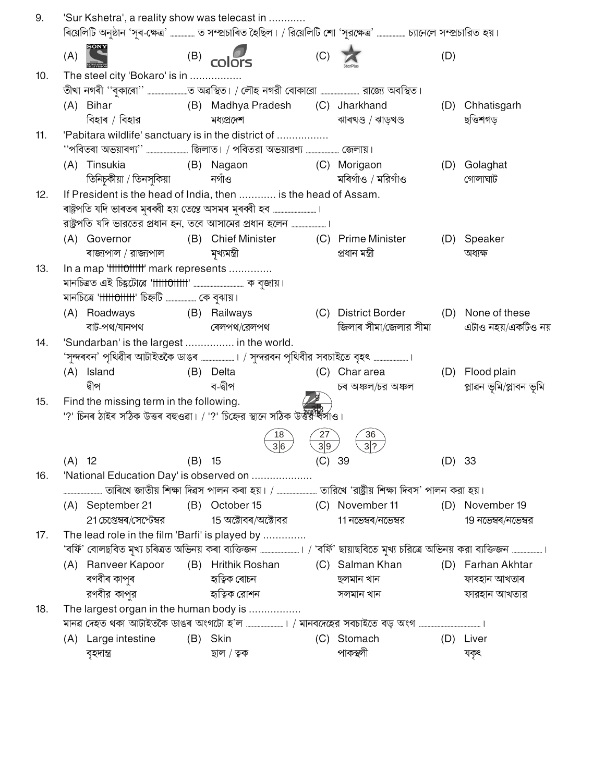| 9.  |          | 'Sur Kshetra', a reality show was telecast in |          | ৰিয়েলিটি অনুষ্ঠান 'সুৰ-ক্ষেত্ৰ' ……………… ত সম্প্ৰচাৰিত হৈছিল। / রিয়েলিটি শো 'সুরক্ষেত্ৰ' ……………… চ্যানেলে সম্প্ৰচারিত হয়।     |          |                                       |        |                         |
|-----|----------|-----------------------------------------------|----------|-------------------------------------------------------------------------------------------------------------------------------|----------|---------------------------------------|--------|-------------------------|
|     | (A)      |                                               |          | $(B)$ colors                                                                                                                  | (C)      |                                       | (D)    |                         |
| 10. |          | The steel city 'Bokaro' is in                 |          |                                                                                                                               |          |                                       |        |                         |
|     |          |                                               |          | তীখা নগৰী ''বুকাৰো'' ………………………ত অৱস্থিত। / লৌহ নগরী বোকারো …………………… রাজ্যে অবস্থিত।                                           |          |                                       |        |                         |
|     |          | (A) Bihar                                     |          | (B) Madhya Pradesh (C) Jharkhand                                                                                              |          |                                       | (D)    | Chhatisgarh             |
|     |          | বিহাৰ / বিহার                                 |          | মধ্যপ্ৰদেশ                                                                                                                    |          | ঝাৰখণ্ড / ঝাড়খণ্ড                    |        | ছত্তিশগড়               |
| 11. |          |                                               |          | 'Pabitara wildlife' sanctuary is in the district of                                                                           |          |                                       |        |                         |
|     |          |                                               |          | "পবিতৰা অভয়াৰণ্য"  জিলাত। / পবিতরা অভয়ারণ্য  জেলায়।                                                                        |          |                                       |        |                         |
|     |          | (A) Tinsukia<br>(B) Nagaon                    |          |                                                                                                                               |          | (C) Morigaon                          | (D)    | Golaghat                |
|     |          | তিনিচুকীয়া / তিনসুকিয়া                      |          | নগাঁও                                                                                                                         |          | মৰিগাঁও / মরিগাঁও                     |        | গোলাঘাট                 |
| 12. |          |                                               |          | If President is the head of India, then  is the head of Assam.                                                                |          |                                       |        |                         |
|     |          |                                               |          |                                                                                                                               |          |                                       |        |                         |
|     |          |                                               |          |                                                                                                                               |          |                                       |        |                         |
|     |          | (A) Governor                                  |          | (B) Chief Minister (C) Prime Minister                                                                                         |          |                                       |        | (D) Speaker             |
|     |          | ৰাজ্যপাল / রাজ্যপাল                           |          | মুখ্যমন্ত্ৰী                                                                                                                  |          | প্ৰধান মন্ত্ৰী                        |        | অধ্যক্ষ                 |
| 13. |          | In a map 'fffffoffffff' mark represents       |          |                                                                                                                               |          |                                       |        |                         |
|     |          |                                               |          |                                                                                                                               |          |                                       |        |                         |
|     |          | মানচিত্রে 'tttttottttt' চিহ্নটি  কে বুঝায়।   |          |                                                                                                                               |          |                                       |        |                         |
|     |          | (A) Roadways                                  |          | (B) Railways                                                                                                                  |          | (C) District Border (D) None of these |        |                         |
|     |          | বাট-পথ/যানপথ                                  |          | ৰেলপথ/রেলপথ                                                                                                                   |          | জিলাৰ সীমা/জেলার সীমা                 |        | এটাও নহয়/একটিও নয়     |
| 14. |          | 'Sundarban' is the largest  in the world.     |          |                                                                                                                               |          |                                       |        |                         |
|     |          |                                               |          | 'সুন্দৰবন' পৃথিৱীৰ আটাইতকৈ ডাঙৰ ﷺ । / সুন্দরবন পৃথিবীর সবচাইতে বৃহৎ ﷺ ।                                                       |          |                                       |        |                         |
|     |          | (A) Island                                    |          | (B) Delta                                                                                                                     |          | (C) Chararea                          |        | (D) Flood plain         |
|     |          | দ্বীপ                                         |          | ব-দ্বীপ                                                                                                                       |          | চৰ অঞ্চল/চর অঞ্চল                     |        | প্লাৱন ভূমি/প্লাবন ভূমি |
| 15. |          | Find the missing term in the following.       |          |                                                                                                                               |          |                                       |        |                         |
|     |          |                                               |          | '?' চিনৰ ঠাইৰ সঠিক উত্তৰ বহুওৱা। / '?' চিহ্নের স্থানে সঠিক উৰ্ত্তরী ব্যাও।                                                    |          |                                       |        |                         |
|     |          |                                               |          | 18<br>36                                                                                                                      | 27<br>39 | 36<br>$3$ ?                           |        |                         |
|     | $(A)$ 12 |                                               | $(B)$ 15 |                                                                                                                               | (C) 39   |                                       | (D) 33 |                         |
| 16. |          |                                               |          | 'National Education Day' is observed on                                                                                       |          |                                       |        |                         |
|     |          |                                               |          | তাৰিখে জাতীয় শিক্ষা দিৱস পালন কৰা হয়। /  তারিখে 'রাষ্ট্রীয় শিক্ষা দিবস' পালন করা হয়।                                      |          |                                       |        |                         |
|     |          | (A) September 21                              |          | (B) October 15 (C) November 11                                                                                                |          |                                       |        | (D) November 19         |
|     |          | 21 চেপ্তেম্বৰ/সেপ্টেম্বর                      |          | 15 অক্টোবৰ/অক্টোবর                                                                                                            |          | 11 নভেম্বৰ/নভেম্বর                    |        | 19 নভেম্বৰ/নভেম্বর      |
| 17. |          |                                               |          | The lead role in the film 'Barfi' is played by                                                                                |          |                                       |        |                         |
|     |          |                                               |          | 'বর্ফি' বোলছবিত মূখ্য চৰিত্রত অভিনয় কৰা ব্যক্তিজন ……………………। / 'বর্ফি' ছায়াছবিতে মুখ্য চরিত্রে অভিনয় করা ব্যক্তিজন …………………। |          |                                       |        |                         |
|     |          | (A) Ranveer Kapoor                            |          | (B) Hrithik Roshan (C) Salman Khan                                                                                            |          |                                       |        | (D) Farhan Akhtar       |
|     |          | ৰণবীৰ কাপুৰ                                   |          | হাত্বিক ৰোচন                                                                                                                  |          | ছলমান খান                             |        | ফাৰহান আখতাৰ            |
|     |          | রণবীর কাপুর                                   |          | হ্যত্বিক রোশন                                                                                                                 |          | সলমান খান                             |        | ফারহান আখতার            |
| 18. |          | The largest organ in the human body is        |          |                                                                                                                               |          |                                       |        |                         |
|     |          |                                               |          |                                                                                                                               |          |                                       |        |                         |
|     |          | (A) Large intestine                           |          | (B) Skin                                                                                                                      |          | (C) Stomach                           |        | (D) Liver               |
|     |          | বৃহদান্ত্ৰ                                    |          | ছাল / ত্বক                                                                                                                    |          | পাকস্থলী                              |        | যকৃৎ                    |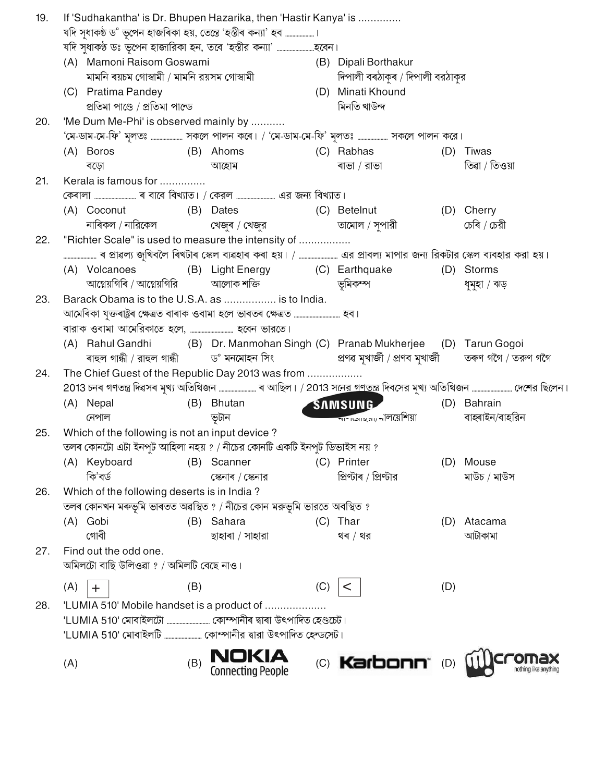| If 'Sudhakantha' is Dr. Bhupen Hazarika, then 'Hastir Kanya' is<br>19. |     |                                                    |     |                                                                             |     |                                                            |     |                                                                                                                       |
|------------------------------------------------------------------------|-----|----------------------------------------------------|-----|-----------------------------------------------------------------------------|-----|------------------------------------------------------------|-----|-----------------------------------------------------------------------------------------------------------------------|
|                                                                        |     |                                                    |     | যদি সুধাকণ্ঠ ড° ভূপেন হাজৰিকা হয়, তেন্তে 'হস্তীৰ কন্যা' হব ……………….।        |     |                                                            |     |                                                                                                                       |
|                                                                        |     |                                                    |     |                                                                             |     |                                                            |     |                                                                                                                       |
|                                                                        |     | (A) Mamoni Raisom Goswami                          |     |                                                                             |     | (B) Dipali Borthakur                                       |     |                                                                                                                       |
|                                                                        |     | মামনি ৰয়চম গোস্বামী / মামনি রয়সম গোস্বামী        |     |                                                                             |     | দিপালী বৰঠাকুৰ / দিপালী বরঠাকুর                            |     |                                                                                                                       |
|                                                                        |     | (C) Pratima Pandey                                 |     |                                                                             |     | (D) Minati Khound                                          |     |                                                                                                                       |
|                                                                        |     | প্ৰতিমা পাণ্ডে / প্ৰতিমা পাল্ডে                    |     |                                                                             |     | মিনতি খাউন্দ                                               |     |                                                                                                                       |
| 20.                                                                    |     | 'Me Dum Me-Phi' is observed mainly by              |     |                                                                             |     |                                                            |     |                                                                                                                       |
|                                                                        |     |                                                    |     | 'মে-ডাম-মে-ফি' মূলতঃ  সকলে পালন কৰে। / 'মে-ডাম-মে-ফি' মূলতঃ  সকলে পালন করে। |     |                                                            |     |                                                                                                                       |
|                                                                        |     | (B) Ahoms<br>(A) Boros                             |     |                                                                             |     | (C) Rabhas                                                 | (D) | Tiwas                                                                                                                 |
|                                                                        |     | বড়ো                                               |     | আহোম                                                                        |     | ৰাভা / রাভা                                                |     | তিৱা / তিওয়া                                                                                                         |
| 21.                                                                    |     | Kerala is famous for                               |     |                                                                             |     |                                                            |     |                                                                                                                       |
|                                                                        |     |                                                    |     |                                                                             |     |                                                            |     |                                                                                                                       |
|                                                                        |     | (A) Coconut                                        |     | (B) Dates                                                                   |     | (C) Betelnut                                               |     | (D) Cherry                                                                                                            |
|                                                                        |     | নাৰিকল / নারিকেল                                   |     | খেজুৰ / খেজুর                                                               |     | তামোল / সৃপারী                                             |     | চেৰি / চেরী                                                                                                           |
| 22.                                                                    |     |                                                    |     | "Richter Scale" is used to measure the intensity of                         |     |                                                            |     |                                                                                                                       |
|                                                                        |     |                                                    |     |                                                                             |     |                                                            |     |                                                                                                                       |
|                                                                        |     | (A) Volcanoes                                      |     | (B) Light Energy (C) Earthquake                                             |     |                                                            |     | (D) Storms                                                                                                            |
|                                                                        |     |                                                    |     | আগ্নেয়গিৰি / আগ্নেয়গিরি             আলোক শক্তি                            |     | ভূমিকম্প                                                   |     | ধুমুহা / ঝড়                                                                                                          |
| 23.                                                                    |     |                                                    |     | Barack Obama is to the U.S.A. as  is to India.                              |     |                                                            |     |                                                                                                                       |
|                                                                        |     |                                                    |     |                                                                             |     |                                                            |     |                                                                                                                       |
|                                                                        |     |                                                    |     |                                                                             |     |                                                            |     |                                                                                                                       |
|                                                                        |     | (A) Rahul Gandhi                                   |     | (B) Dr. Manmohan Singh (C) Pranab Mukherjee (D) Tarun Gogoi                 |     |                                                            |     |                                                                                                                       |
|                                                                        |     | ৰাহুল গান্ধী / রাহুল গান্ধী $\qquad$ ড° মনমোহন সিং |     |                                                                             |     | প্ৰণৱ মুখাৰ্জী / প্ৰণব মুখাৰ্জী        তৰুণ গগৈ / তরুণ গগৈ |     |                                                                                                                       |
| 24.                                                                    |     |                                                    |     | The Chief Guest of the Republic Day 2013 was from                           |     |                                                            |     |                                                                                                                       |
|                                                                        |     |                                                    |     |                                                                             |     |                                                            |     | 2013 চনৰ গণতন্ত্ৰ দিৱসৰ মৃখ্য অতিথিজন …………………… ৰ আছিল। / 2013 সনের গণতন্ত্র দিবসের মুখ্য অতিথিজন …………………… দেশের ছিলেন |
|                                                                        |     | (A) Nepal                                          |     | (B) Bhutan                                                                  |     | SAMSUNG                                                    |     | (D) Bahrain                                                                                                           |
|                                                                        |     | নেপাল                                              |     | ভটান                                                                        |     | শাশক্ষাহমা/ নালয়েশিয়া                                    |     | বাহ্ৰাইন/বাহরিন                                                                                                       |
| 25.                                                                    |     | Which of the following is not an input device?     |     |                                                                             |     |                                                            |     |                                                                                                                       |
|                                                                        |     |                                                    |     | তলৰ কোনটো এটা ইনপুট আহিলা নহয় ? / নীচের কোনটি একটি ইনপুট ডিভাইস নয় ?      |     |                                                            |     |                                                                                                                       |
|                                                                        |     | (A) Keyboard                                       | (B) | Scanner                                                                     |     | (C) Printer                                                | (D) | Mouse                                                                                                                 |
|                                                                        |     | কি'বৰ্ড                                            |     | স্কেনাৰ / স্কেনার                                                           |     | প্ৰিণ্টাৰ / প্ৰিণ্টার                                      |     | মাউচ / মাউস                                                                                                           |
| 26.                                                                    |     | Which of the following deserts is in India?        |     |                                                                             |     |                                                            |     |                                                                                                                       |
|                                                                        |     |                                                    |     | তলৰ কোনখন মৰুভূমি ভাৰতত অৱস্থিত ? / নীচের কোন মরুভূমি ভারতে অবস্থিত ?       |     |                                                            |     |                                                                                                                       |
|                                                                        |     | (A) Gobi                                           |     | (B) Sahara                                                                  |     | (C) Thar                                                   | (D) | Atacama                                                                                                               |
|                                                                        |     | গোৰী                                               |     | ছাহাৰা / সাহারা                                                             |     | থৰ / থর                                                    |     | আটাকামা                                                                                                               |
| 27.                                                                    |     | Find out the odd one.                              |     |                                                                             |     |                                                            |     |                                                                                                                       |
|                                                                        |     | অমিলটো বাছি উলিওৱা ? / অমিলটি বেছে নাও।            |     |                                                                             |     |                                                            |     |                                                                                                                       |
|                                                                        | (A) | $\ddot{}$                                          | (B) |                                                                             | (C) | <                                                          | (D) |                                                                                                                       |
| 28.                                                                    |     |                                                    |     | 'LUMIA 510' Mobile handset is a product of                                  |     |                                                            |     |                                                                                                                       |
|                                                                        |     |                                                    |     |                                                                             |     |                                                            |     |                                                                                                                       |
|                                                                        |     |                                                    |     |                                                                             |     |                                                            |     |                                                                                                                       |
|                                                                        |     |                                                    |     |                                                                             |     |                                                            |     |                                                                                                                       |
|                                                                        | (A) |                                                    | (B) | <b>Connecting People</b>                                                    |     | (C) Karbonn'                                               | (D) |                                                                                                                       |
|                                                                        |     |                                                    |     |                                                                             |     |                                                            |     |                                                                                                                       |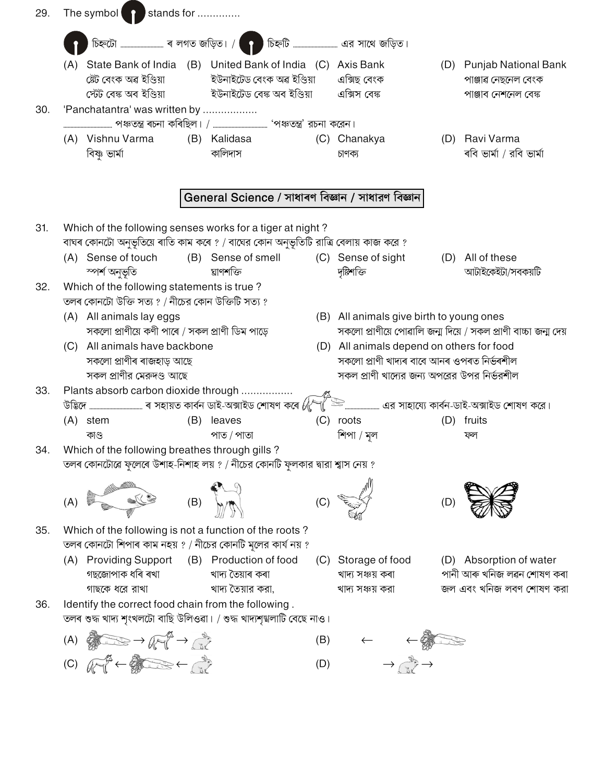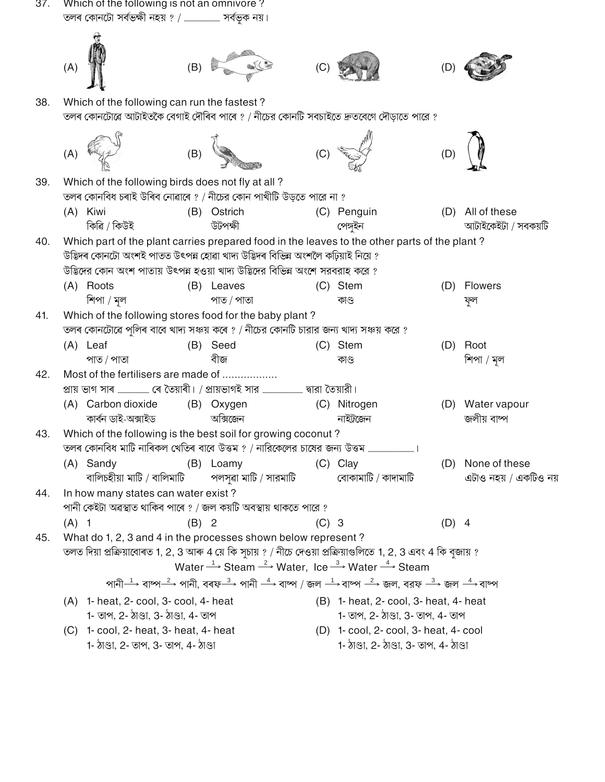- 37. Which of the following is not an omnivore?  $(C)$ 38. Which of the following can run the fastest? তলৰ কোনটোৱে আটাইতকৈ বেগাই দৌৰিব পাৰে ? / নীচের কোনটি সবচাইতে দ্রুতবেগে দৌডাতে পারে ? Which of the following birds does not fly at all? 39. তলৰ কোনবিধ চৰাই উৰিব নোৱাৰে ? / নীচের কোন পাখীটি উড়তে পারে না ? (A) Kiwi (B) Ostrich (C) Penguin (D) All of these কিৱি / কিউই উটপক্ষী পেঙ্গইন আটাইকেইটা / সবকয়টি Which part of the plant carries prepared food in the leaves to the other parts of the plant?  $40.$ উদ্ভিদৰ কোনটো অংশই পাতত উৎপন্ন হোৱা খাদ্য উদ্ভিদৰ বিভিন্ন অংশলৈ কঢ়িয়াই নিয়ে ? উদ্ভিদের কোন অংশ পাতায় উৎপন্ন হওয়া খাদ্য উদ্ভিদের বিভিন্ন অংশে সরবরাহ করে ? (A) Roots (C) Stem (B) Leaves (D) Flowers শিপা / মল পাত / পাতা কাণ্ড ফল Which of the following stores food for the baby plant? 41. তলৰ কোনটোৱে পুলিৰ বাবে খাদ্য সঞ্চয় কৰে ? / নীচের কোনটি চারার জন্য খাদ্য সঞ্চয় করে ? (A) Leaf (B) Seed (C) Stem (D) Root পাত / পাতা বীজ শিপা / মল কাণ্ড 42. Most of the fertilisers are made of .................. (B) Oxygen (A) Carbon dioxide (C) Nitrogen (D) Water vapour অক্সিজেন কাৰ্বন ডাই-অক্সাইড নাইট্রজেন জলীয় বাষ্প 43. Which of the following is the best soil for growing coconut? তলৰ কোনবিধ মাটি নাৰিকল খেতিৰ বাবে উত্তম ? / নারিকেলের চাষের জন্য উত্তম ...........................  $\sim$  1 (A) Sandy (C) Clay (B) Loamy (D) None of these বালিচহীয়া মাটি / বালিমাটি পলসুৱা মাটি / সারমাটি বোকামাটি / কাদামাটি এটাও নহয় / একটিও নয় In how many states can water exist? 44. পানী কেইটা অৱস্থাত থাকিব পাৰে ? / জল কয়টি অবস্থায় থাকতে পারে ?  $(A)$  1  $(B)$  2  $(C)$  3  $(D)$  4 What do 1, 2, 3 and 4 in the processes shown below represent? 45. তলত দিয়া প্ৰক্ৰিয়াবোৰত 1, 2, 3 আৰু 4 য়ে কি সচায় ? / নীচে দেওয়া প্ৰক্ৰিয়াগুলিতে 1, 2, 3 এবং 4 কি বজায় ?
	- Water  $\xrightarrow{1}$  Steam  $\xrightarrow{2}$  Water, Ice  $\xrightarrow{3}$  Water  $\xrightarrow{4}$  Steam পানী $\stackrel{1}{\longrightarrow}$  বাষ্প $\stackrel{2}{\longrightarrow}$  পানী. বৰফ $\stackrel{3}{\longrightarrow}$  পানী  $\stackrel{4}{\longrightarrow}$  বাষ্প $\mid$  'জল $\stackrel{-1}{\longrightarrow}$  বাৰ্ণ  $\stackrel{2}{\longrightarrow}$  জল  $\stackrel{4}{\longrightarrow}$  বাৰ্ণ (A) 1- heat, 2- cool, 3- cool, 4- heat (B) 1- heat, 2- cool, 3- heat, 4- heat 1- তাপ, 2- ঠাণ্ডা, 3- ঠাণ্ডা, 4- তাপ 1- তাপ, 2- ঠাণ্ডা, 3- তাপ, 4- তাপ (C) 1- cool, 2- heat, 3- heat, 4- heat (D) 1- cool, 2- cool, 3- heat, 4- cool
		- 1- ঠাণ্ডা, 2- তাপ, 3- তাপ, 4- ঠাণ্ডা

1- ঠাণ্ডা, 2- ঠাণ্ডা, 3- তাপ, 4- ঠাণ্ডা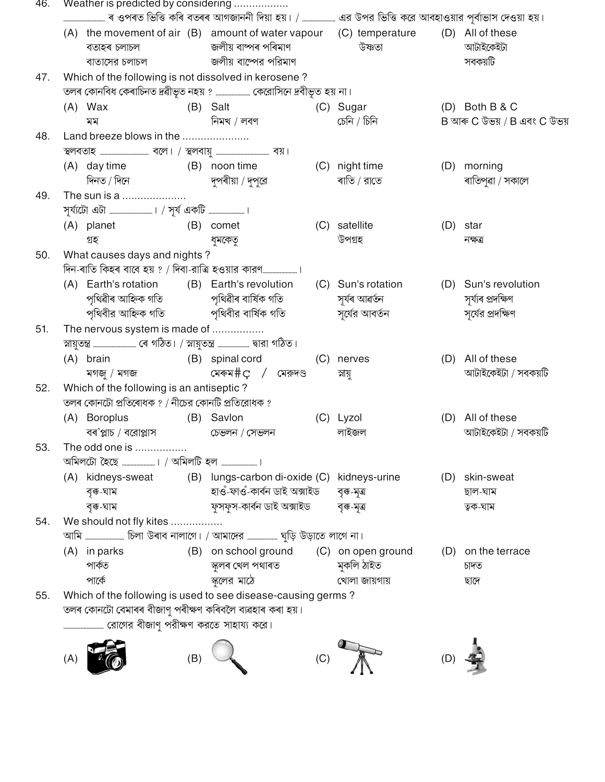| 46. |                                                 | Weather is predicted by considering                     |     |                                                                                                                         |     |                                |     |                                          |  |
|-----|-------------------------------------------------|---------------------------------------------------------|-----|-------------------------------------------------------------------------------------------------------------------------|-----|--------------------------------|-----|------------------------------------------|--|
|     |                                                 | বতাহৰ চলাচল<br>বাতাসের চলাচল                            |     | $(A)$ the movement of air $(B)$ amount of water vapour $(C)$ temperature<br>জলীয় বাষ্পৰ পৰিমাণ<br>জলীয় বাষ্পের পরিমাণ |     | উষ্ণতা                         |     | (D) All of these<br>আটাইকেইটা<br>সবকয়টি |  |
| 47. |                                                 |                                                         |     | Which of the following is not dissolved in kerosene?                                                                    |     |                                |     |                                          |  |
|     |                                                 |                                                         |     | তলৰ কোনবিধ কেৰাচিনত দ্ৰৱীভূত নহয় ? ………………… কেরোসিনে দ্রবীভূত হয় না।                                                   |     |                                |     |                                          |  |
|     |                                                 | $(A)$ Wax                                               |     | (B) Salt                                                                                                                |     | (C) Sugar                      |     | $(D)$ Both B & C                         |  |
|     |                                                 | মম                                                      |     | নিমখ / লবণ                                                                                                              |     | চেনি / চিনি                    |     | B আৰু C উভয় / B এবং C উভয়              |  |
| 48. |                                                 | Land breeze blows in the                                |     |                                                                                                                         |     |                                |     |                                          |  |
|     |                                                 |                                                         |     |                                                                                                                         |     |                                |     |                                          |  |
|     |                                                 | (A) day time                                            |     | (B) noon time                                                                                                           |     | (C) night time                 |     | (D) morning                              |  |
|     |                                                 | দিনত / দিনে                                             |     | দুপৰীয়া / দুপুরে                                                                                                       |     | ৰাতি / রাতে                    |     | ৰাতিপুৱা / সকালে                         |  |
| 49. |                                                 | The sun is a                                            |     |                                                                                                                         |     |                                |     |                                          |  |
|     |                                                 |                                                         |     |                                                                                                                         |     |                                |     |                                          |  |
|     |                                                 | (A) planet                                              |     | (B) comet                                                                                                               |     | (C) satellite                  |     | $(D)$ star                               |  |
|     |                                                 | গ্ৰহ                                                    |     | ধুমকেতৃ                                                                                                                 |     | উপগ্ৰহ                         |     | নক্ষত্র                                  |  |
| 50. |                                                 | What causes days and nights?                            |     |                                                                                                                         |     |                                |     |                                          |  |
|     |                                                 |                                                         |     |                                                                                                                         |     |                                |     |                                          |  |
|     |                                                 |                                                         |     | (A) Earth's rotation (B) Earth's revolution                                                                             |     | (C) Sun's rotation             |     | (D) Sun's revolution                     |  |
|     |                                                 |                                                         |     | পৃথিৱীৰ আহ্নিক গতি                  পৃথিৱীৰ বাৰ্ষিক গতি                                                                 |     | সূৰ্যৰ আৱৰ্তন<br>সৰ্বের আবর্তন |     | সৰ্য্যৰ প্ৰদক্ষিণ                        |  |
|     |                                                 |                                                         |     | পৃথিবীর আহ্নিক গতি               পৃথিবীর বার্ষিক গতি                                                                    |     |                                |     | সূর্যের প্রদক্ষিণ                        |  |
| 51. | The nervous system is made of                   |                                                         |     |                                                                                                                         |     |                                |     |                                          |  |
|     |                                                 | (A) brain                                               |     | (B) spinal cord                                                                                                         | (C) | nerves                         |     | (D) All of these                         |  |
|     |                                                 | মগজু / মগজ                                              |     | মেৰুম $\#$ C / মেরুদণ্ড                                                                                                 |     | স্নায়ু                        |     | আটাইকেইটা / সবকয়টি                      |  |
| 52. |                                                 | Which of the following is an antiseptic?                |     |                                                                                                                         |     |                                |     |                                          |  |
|     | তলৰ কোনটো প্ৰতিৰোধক ? / নীচের কোনটি প্ৰতিরোধক ? |                                                         |     |                                                                                                                         |     |                                |     |                                          |  |
|     |                                                 | (A) Boroplus                                            |     | (B) Savlon                                                                                                              |     | (C) Lyzol                      |     | (D) All of these                         |  |
|     |                                                 | বৰ'প্লাচ / বরোপ্লাস                                     |     | চেভলন / সেভলন                                                                                                           |     | লাইজল                          |     | আটাইকেইটা / সবকয়টি                      |  |
| 53. |                                                 | The odd one is                                          |     |                                                                                                                         |     |                                |     |                                          |  |
|     |                                                 |                                                         |     |                                                                                                                         |     |                                |     |                                          |  |
|     |                                                 |                                                         |     | (A) kidneys-sweat (B) lungs-carbon di-oxide (C) kidneys-urine                                                           |     |                                | (D) | skin-sweat                               |  |
|     |                                                 | বৃক্ব-ঘাম                                               |     | হাওঁ-ফাওঁ-কাৰ্বন ডাই অক্সাইড                                                                                            |     | বৃক্ক-মূত্ৰ                    |     | ছাল-ঘাম                                  |  |
|     |                                                 | বৃক্ক-ঘাম                                               |     | ফুসফুস-কাৰ্বন ডাই অক্সাইড                                                                                               |     | বৃক্ক-মৃত্ৰ                    |     | ত্বক-ঘাম                                 |  |
| 54. |                                                 | We should not fly kites                                 |     |                                                                                                                         |     |                                |     |                                          |  |
|     |                                                 |                                                         |     | আমি  চিলা উৰাব নালাগে। / আমাদের  ঘুড়ি উড়াতে লাগে না।                                                                  |     |                                |     |                                          |  |
|     |                                                 | $(A)$ in parks                                          |     | (B) on school ground (C) on open ground                                                                                 |     |                                |     | (D) on the terrace                       |  |
|     |                                                 | পার্কত                                                  |     | স্কুলৰ খেল পথাৰত                                                                                                        |     | মুকলি ঠাইত                     |     | চাদত                                     |  |
|     |                                                 | পার্কে                                                  |     | স্কলের মাঠে                                                                                                             |     | খোলা জায়গায়                  |     | ছাদে                                     |  |
| 55. |                                                 |                                                         |     | Which of the following is used to see disease-causing germs?                                                            |     |                                |     |                                          |  |
|     |                                                 | তলৰ কোনটো বেমাৰৰ বীজাণু পৰীক্ষণ কৰিবলৈ ব্যৱহাৰ কৰা হয়। |     |                                                                                                                         |     |                                |     |                                          |  |
|     |                                                 |                                                         |     |                                                                                                                         |     |                                |     |                                          |  |
|     |                                                 |                                                         |     |                                                                                                                         |     |                                |     |                                          |  |
|     | (A)                                             |                                                         | (B) |                                                                                                                         | (C) |                                | (D) |                                          |  |
|     |                                                 |                                                         |     |                                                                                                                         |     |                                |     |                                          |  |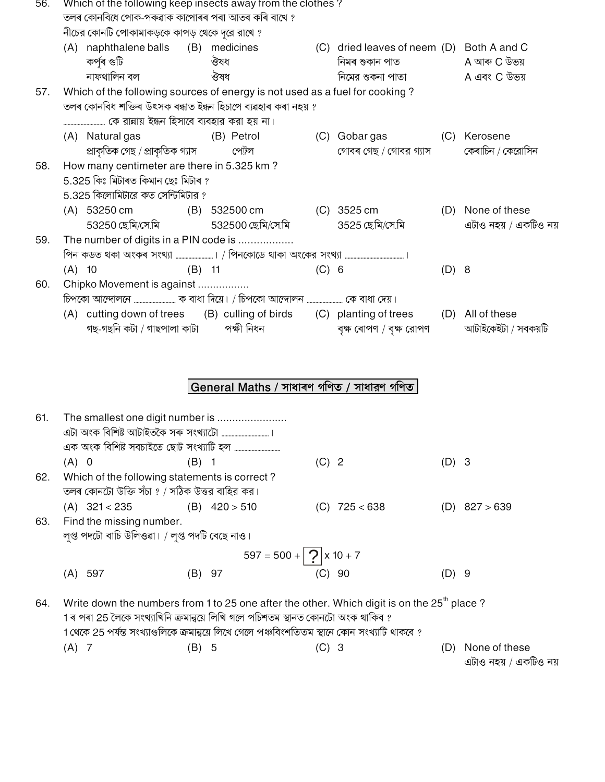| 56. | Which of the following keep insects away from the clothes?<br>তলৰ কোনবিধে পোক-পৰুৱাক কাপোৰৰ পৰা আতৰ কৰি ৰাখে ? |                                                                                                                                              |          |                                           |       |                                                                                                 |       |                                            |
|-----|----------------------------------------------------------------------------------------------------------------|----------------------------------------------------------------------------------------------------------------------------------------------|----------|-------------------------------------------|-------|-------------------------------------------------------------------------------------------------|-------|--------------------------------------------|
|     |                                                                                                                | নীচের কোনটি পোকামাকড়কে কাপড় থেকে দূরে রাখে ?                                                                                               |          |                                           |       |                                                                                                 |       |                                            |
|     |                                                                                                                | (A) naphthalene balls (B) medicines<br>কৰ্পৰ গুটি                                                                                            |          | ঔষধ                                       |       | (C) dried leaves of neem (D) Both A and C<br>নিমৰ শুকান পাত                                     |       | A আৰু C উভয়                               |
|     |                                                                                                                | নাফথালিন বল                                                                                                                                  |          | ঔষধ                                       |       | নিমের শুকনা পাতা                                                                                |       | A এবং C উভয়                               |
| 57. |                                                                                                                | Which of the following sources of energy is not used as a fuel for cooking?<br>তলৰ কোনবিধ শক্তিৰ উৎসক ৰন্ধাত ইন্ধন হিচাপে ব্যৱহাৰ কৰা নহয় ? |          |                                           |       |                                                                                                 |       |                                            |
|     |                                                                                                                |                                                                                                                                              |          |                                           |       |                                                                                                 |       |                                            |
|     |                                                                                                                | (A) Natural gas<br>প্ৰাকৃতিক গেছ / প্ৰাকৃতিক গ্যাস                                                                                           |          | (B) Petrol<br>পেট্রল                      |       | (C) Gobargas<br>গোবৰ গেছ / গোবর গ্যাস                                                           |       | (C) Kerosene<br>কেৰাচিন / কেরোসিন          |
| 58. |                                                                                                                | How many centimeter are there in 5.325 km?<br>5.325 কিঃ মিটাৰত কিমান ছেঃ মিটাৰ ?<br>5.325 কিলোমিটারে কত সেন্টিমিটার ?                        |          |                                           |       |                                                                                                 |       |                                            |
|     |                                                                                                                | (A) 53250 cm<br>53250 ছেমি/সে.মি                                                                                                             |          | (B) 532500 cm<br>532500 ছেমি/সে.মি        |       | $(C)$ 3525 cm<br>3525 ছেমি/সেমি                                                                 |       | (D) None of these<br>এটাও নহয় / একটিও নয় |
| 59. |                                                                                                                | The number of digits in a PIN code is                                                                                                        |          |                                           |       |                                                                                                 |       |                                            |
|     | $(A)$ 10                                                                                                       |                                                                                                                                              | $(B)$ 11 |                                           | (C) 6 |                                                                                                 | (D) 8 |                                            |
| 60. |                                                                                                                | Chipko Movement is against                                                                                                                   |          |                                           |       |                                                                                                 |       |                                            |
|     |                                                                                                                | গছ-গছনি কটা / গাছপালা কাটা                                                                                                                   |          | পক্ষী নিধন                                |       | (A) cutting down of trees (B) culling of birds (C) planting of trees<br>বৃক্ষ ৰোপণ / বৃক্ষ রোপণ |       | (D) All of these<br>আটাইকেইটা / সবকয়টি    |
|     |                                                                                                                |                                                                                                                                              |          | General Maths / সাধাৰণ গণিত / সাধারণ গণিত |       |                                                                                                 |       |                                            |
| 61. |                                                                                                                | The smallest one digit number is<br>এক অংক বিশিষ্ট সবচাইতে ছোট সংখ্যাটি হল ……………………………                                                       |          |                                           |       |                                                                                                 |       |                                            |

|     | $(A)$ 0                                        | (B) 1           | $(C)$ 2         | (D) 3 |                 |  |  |
|-----|------------------------------------------------|-----------------|-----------------|-------|-----------------|--|--|
| 62. | Which of the following statements is correct?  |                 |                 |       |                 |  |  |
|     | তলৰ কোনটো উক্তি সঁচা ? / সঠিক উত্তর বাহির কর।  |                 |                 |       |                 |  |  |
|     | $(A)$ 321 < 235                                | $(B)$ 420 > 510 | $(C)$ 725 < 638 |       | $(D)$ 827 > 639 |  |  |
| 63. | Find the missing number.                       |                 |                 |       |                 |  |  |
|     | লুপ্ত পদটো বাচি উলিওৱা। / লুপ্ত পদটি বেছে নাও। |                 |                 |       |                 |  |  |
|     | $597 = 500 + 2 \times 10 + 7$                  |                 |                 |       |                 |  |  |

| (A) 597<br>(B) 97<br>(C) 90 |  |         |
|-----------------------------|--|---------|
|                             |  | $(D)$ 9 |

64. Write down the numbers from 1 to 25 one after the other. Which digit is on the 25<sup>th</sup> place? 1 ৰ পৰা 25 লৈকে সংখ্যাখিনি ক্ৰমান্বয়ে লিখি গলে পচিশতম স্থানত কোনটো অংক থাকিব ? 1 থেকে 25 পর্যন্ত সংখ্যাগুলিকে ক্রমান্বয়ে লিখে গেলে পঞ্চবিংশতিতম স্থানে কোন সংখ্যাটি থাকবে ?  $(C)$  3  $(A)$  7  $(B)$  5

(D) None of these এটাও নহয় / একটিও নয়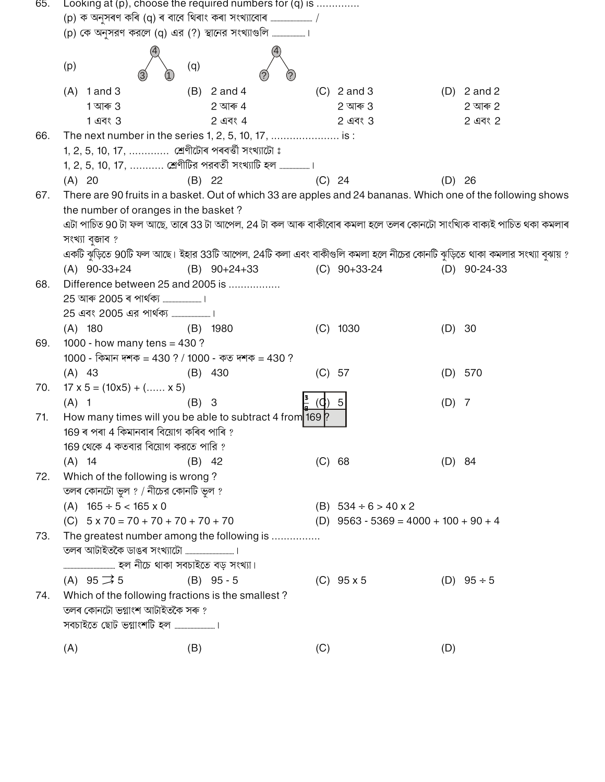| 65. |                                             | Looking at $(p)$ , choose the required numbers for $(q)$ is |                                |                                                                                                                         |  |
|-----|---------------------------------------------|-------------------------------------------------------------|--------------------------------|-------------------------------------------------------------------------------------------------------------------------|--|
|     |                                             | (p) কে অনুসরণ করলে (q) এর (?) স্থানের সংখ্যাগুলি            |                                |                                                                                                                         |  |
|     |                                             |                                                             |                                |                                                                                                                         |  |
|     | (p)                                         | (q)                                                         |                                |                                                                                                                         |  |
|     | $(A)$ 1 and 3                               | $(B)$ 2 and 4                                               | $(C)$ 2 and 3                  | $(D)$ 2 and 2                                                                                                           |  |
|     | 1 আৰু 3                                     | $2 \overline{$ আৰু $4$                                      | 2 আৰু $3$                      | 2 আৰু 2                                                                                                                 |  |
|     | 1 এবং 3                                     | 2 এবং 4                                                     | 2 এবং 3                        | 2 এবং 2                                                                                                                 |  |
| 66. |                                             | The next number in the series 1, 2, 5, 10, 17,  is :        |                                |                                                                                                                         |  |
|     |                                             | 1, 2, 5, 10, 17,  শ্ৰেণীটোৰ পৰবৰ্ত্তী সংখ্যাটো ঃ            |                                |                                                                                                                         |  |
|     |                                             | 1, 2, 5, 10, 17,  শ্রেণীটির পরবর্তী সংখ্যাটি হল             |                                |                                                                                                                         |  |
|     | (A) 20                                      | (B) 22                                                      | (C) 24                         | $(D)$ 26                                                                                                                |  |
| 67. |                                             |                                                             |                                | There are 90 fruits in a basket. Out of which 33 are apples and 24 bananas. Which one of the following shows            |  |
|     | the number of oranges in the basket?        |                                                             |                                |                                                                                                                         |  |
|     |                                             |                                                             |                                | এটা পাচিত 90 টা ফল আছে, তাৰে 33 টা আপেল, 24 টা কল আৰু বাকীবোৰ কমলা হলে তলৰ কোনটো সাংখ্যিক বাক্যই পাচিত থকা কমলাৰ        |  |
|     | সংখ্যা বুজাব ?                              |                                                             |                                |                                                                                                                         |  |
|     |                                             |                                                             |                                | একটি ঝুড়িতে 90টি ফল আছে। ইহার 33টি আপেল, 24টি কলা এবং বাকীগুলি কমলা হলে নীচের কোনটি ঝুড়িতে থাকা কমলার সংখ্যা বুঝায় ? |  |
|     | $(A)$ 90-33+24                              | $(B)$ 90+24+33                                              | $(C)$ 90+33-24                 | $(D)$ 90-24-33                                                                                                          |  |
| 68. |                                             | Difference between 25 and 2005 is                           |                                |                                                                                                                         |  |
|     |                                             |                                                             |                                |                                                                                                                         |  |
|     |                                             |                                                             |                                |                                                                                                                         |  |
|     | $(A)$ 180                                   | $(B)$ 1980                                                  | $(C)$ 1030                     | (D) 30                                                                                                                  |  |
| 69. | 1000 - how many tens = $430$ ?              |                                                             |                                |                                                                                                                         |  |
|     |                                             | 1000 - কিমান দশক = 430 ? / 1000 - কত দশক = 430 ?            |                                |                                                                                                                         |  |
|     | $(A)$ 43                                    | $(B)$ 430                                                   | $(C)$ 57                       | $(D)$ 570                                                                                                               |  |
| 70. | $17 \times 5 = (10 \times 5) + ( \times 5)$ |                                                             |                                |                                                                                                                         |  |
|     | $(A)$ 1                                     | $(B)$ 3                                                     | $(Q)$ 5                        | $(D)$ 7                                                                                                                 |  |
| 71. |                                             | How many times will you be able to subtract 4 from 169 ?    |                                |                                                                                                                         |  |
|     | 169 ৰ পৰা 4 কিমানবাৰ বিয়োগ কৰিব পাৰি ?     |                                                             |                                |                                                                                                                         |  |
|     | 169 থেকে 4 কতবার বিয়োগ করতে পারি ?         |                                                             |                                |                                                                                                                         |  |
|     | $(A)$ 14                                    | $(B)$ 42                                                    | (C) 68                         | (D) 84                                                                                                                  |  |
| 72. | Which of the following is wrong?            |                                                             |                                |                                                                                                                         |  |
|     | তলৰ কোনটো ভুল ? / নীচের কোনটি ভুল ?         |                                                             |                                |                                                                                                                         |  |
|     | $(A)$ 165 ÷ 5 < 165 x 0                     |                                                             | (B) $534 \div 6 > 40 \times 2$ |                                                                                                                         |  |
|     | (C) $5 \times 70 = 70 + 70 + 70 + 70 + 70$  |                                                             |                                | (D) $9563 - 5369 = 4000 + 100 + 90 + 4$                                                                                 |  |
| 73. |                                             | The greatest number among the following is                  |                                |                                                                                                                         |  |
|     |                                             |                                                             |                                |                                                                                                                         |  |
|     |                                             |                                                             |                                |                                                                                                                         |  |
|     | $(A)$ 95 $\rightarrow$ 5                    | $(B)$ 95 - 5                                                | $(C)$ 95 x 5                   | (D) $95 \div 5$                                                                                                         |  |
| 74. |                                             | Which of the following fractions is the smallest?           |                                |                                                                                                                         |  |
|     | তলৰ কোনটো ভগ্নাংশ আটাইতকৈ সৰু ?             |                                                             |                                |                                                                                                                         |  |
|     |                                             |                                                             |                                |                                                                                                                         |  |
|     | (A)                                         | (B)                                                         | (C)                            | (D)                                                                                                                     |  |
|     |                                             |                                                             |                                |                                                                                                                         |  |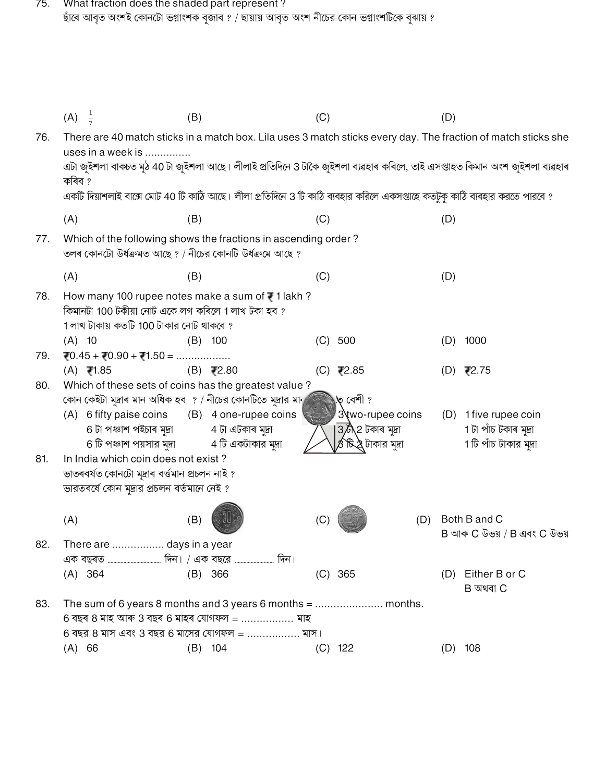75. What fraction does the shaded part represent ?<br>ছাঁৰে আবৃত অংশই কোনটো ভগ্নাংশক বুজাব ? / ছায়ায় আবৃত অংশ নীচের কোন ভগ্নাংশটিকে বুঝায় ?

|     | $(A) \frac{1}{7}$                                                                             | (B)                                                                                                                         | (C)                            | (D)                                                                                                                       |
|-----|-----------------------------------------------------------------------------------------------|-----------------------------------------------------------------------------------------------------------------------------|--------------------------------|---------------------------------------------------------------------------------------------------------------------------|
| 76. | uses in a week is                                                                             |                                                                                                                             |                                | There are 40 match sticks in a match box. Lila uses 3 match sticks every day. The fraction of match sticks she            |
|     | কৰিব ?                                                                                        |                                                                                                                             |                                | এটা জুইশলা বাকচত মুঠ 40 টা জুইশলা আছে। লীলাই প্ৰতিদিনে 3 টাকৈ জুইশলা ব্যৱহাৰ কৰিলে, তাই এসপ্তাহত কিমান অংশ জুইশলা ব্যৱহাৰ |
|     |                                                                                               | একটি দিয়াশলাই বাক্সে মোট 40 টি কাঠি আছে। লীলা প্রতিদিনে 3 টি কাঠি ব্যবহার করিলে একসপ্তাহে কতটুকু কাঠি ব্যবহার করতে পারবে ? |                                |                                                                                                                           |
|     | (A)                                                                                           | (B)                                                                                                                         | (C)                            | (D)                                                                                                                       |
| 77. |                                                                                               | Which of the following shows the fractions in ascending order?<br>তলৰ কোনটো উৰ্ধক্ৰমত আছে ? / নীচের কোনটি উৰ্ধক্ৰমে আছে ?   |                                |                                                                                                                           |
|     | (A)                                                                                           | (B)                                                                                                                         | (C)                            | (D)                                                                                                                       |
| 78. | কিমানটা 100 টকীয়া নোট একে লগ কৰিলে 1 লাখ টকা হব ?<br>1 লাখ টাকায় কতটি 100 টাকার নোট থাকবে ? | How many 100 rupee notes make a sum of ₹1 lakh?                                                                             |                                |                                                                                                                           |
|     | $(A)$ 10                                                                                      | $(B)$ 100                                                                                                                   | (C)<br>500                     | 1000<br>(D)                                                                                                               |
| 79. | $70.45 + 70.90 + 71.50 = \dots \dots \dots$                                                   |                                                                                                                             |                                |                                                                                                                           |
|     | $(A)$ ₹1.85                                                                                   | $(B)$ ₹2.80                                                                                                                 | $(C)$ ₹2.85                    | (D) ₹2.75                                                                                                                 |
| 80. |                                                                                               | Which of these sets of coins has the greatest value?                                                                        |                                |                                                                                                                           |
|     |                                                                                               | কোন কেইটা মুদ্ৰাৰ মান অধিক হব  ? / নীচের কোনটিতে মুদ্ৰার মান                                                                | ত বেশী ?                       |                                                                                                                           |
|     |                                                                                               | (A) 6 fifty paise coins (B) 4 one-rupee coins                                                                               | 3\two-rupee coins              | (D) 1 five rupee coin                                                                                                     |
|     | 6 টা পঞ্চাশ পইচাৰ মুদ্ৰা                                                                      | 4 টা এটকাৰ মুদ্ৰা                                                                                                           | $3\overline{6}$ \2 টকাৰ মুদ্ৰা | 1 টা পাঁচ টকাৰ মুদ্ৰা<br>1 টি পাঁচ টাকার মুদ্রা                                                                           |
| 81. | 6 টি পঞ্চাশ পয়সার মুদ্রা<br>In India which coin does not exist?                              | 4 টি একটাকার মুদ্রা                                                                                                         | <b>৪°চি.2</b> টাকার মুদ্রা     |                                                                                                                           |
|     | ভাতৰবৰ্ষত কোনটো মুদ্ৰাৰ বৰ্ত্তমান প্ৰচলন নাই ?                                                |                                                                                                                             |                                |                                                                                                                           |
|     | ভারতবর্ষে কোন মুদ্রার প্রচলন বর্তমানে নেই ?                                                   |                                                                                                                             |                                |                                                                                                                           |
|     |                                                                                               |                                                                                                                             |                                |                                                                                                                           |
|     | (A)                                                                                           | (B)                                                                                                                         | (C)                            | (D) Both B and C<br>B আৰু C উভয় / B এবং C উভয়                                                                           |
| 82. | There are  days in a year                                                                     |                                                                                                                             |                                |                                                                                                                           |
|     |                                                                                               |                                                                                                                             |                                |                                                                                                                           |
|     | $(A)$ 364                                                                                     | (B) 366                                                                                                                     | $(C)$ 365                      | (D) Either B or C<br>$B$ অথবা $C$                                                                                         |
| 83. |                                                                                               | The sum of 6 years 8 months and 3 years 6 months = $\dots$ $\dots$ $\dots$ $\dots$ $\dots$ $\dots$ months.                  |                                |                                                                                                                           |
|     |                                                                                               | 6 বছৰ 8 মাহ আৰু 3 বছৰ 6 মাহৰ যোগফল =  মাহ                                                                                   |                                |                                                                                                                           |
|     |                                                                                               | $6$ বছর $8$ মাস এবং $3$ বছর $6$ মাসের যোগফল =  মাস।                                                                         |                                |                                                                                                                           |
|     | (A) 66                                                                                        | $(B)$ 104                                                                                                                   | $(C)$ 122                      | 108<br>(D)                                                                                                                |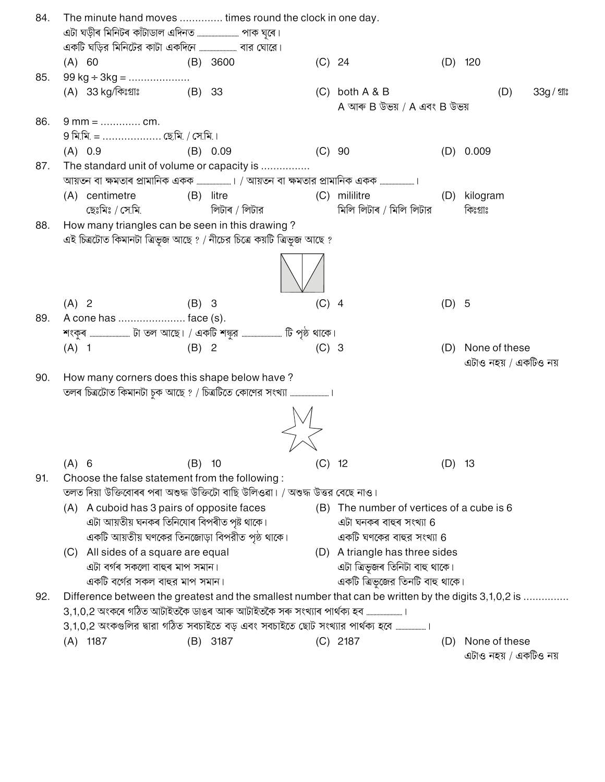